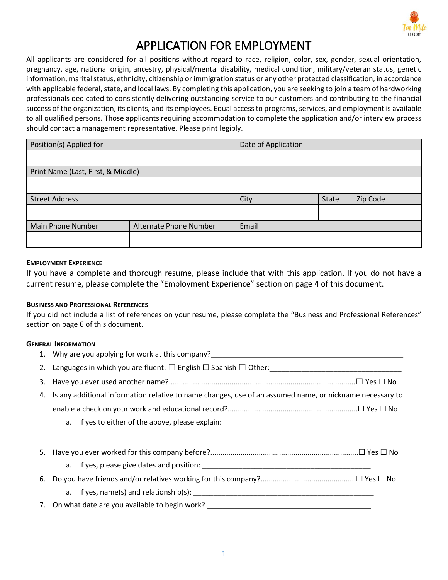

# APPLICATION FOR EMPLOYMENT

All applicants are considered for all positions without regard to race, religion, color, sex, gender, sexual orientation, pregnancy, age, national origin, ancestry, physical/mental disability, medical condition, military/veteran status, genetic information, marital status, ethnicity, citizenship or immigration status or any other protected classification, in accordance with applicable federal, state, and local laws. By completing this application, you are seeking to join a team of hardworking professionals dedicated to consistently delivering outstanding service to our customers and contributing to the financial success of the organization, its clients, and its employees. Equal access to programs, services, and employment is available to all qualified persons. Those applicants requiring accommodation to complete the application and/or interview process should contact a management representative. Please print legibly.

| Position(s) Applied for                     |  | Date of Application |       |          |
|---------------------------------------------|--|---------------------|-------|----------|
|                                             |  |                     |       |          |
| Print Name (Last, First, & Middle)          |  |                     |       |          |
|                                             |  |                     |       |          |
| <b>Street Address</b>                       |  | City                | State | Zip Code |
|                                             |  |                     |       |          |
| Alternate Phone Number<br>Main Phone Number |  | Email               |       |          |
|                                             |  |                     |       |          |

## **EMPLOYMENT EXPERIENCE**

If you have a complete and thorough resume, please include that with this application. If you do not have a current resume, please complete the "Employment Experience" section on page 4 of this document.

## **BUSINESS AND PROFESSIONAL REFERENCES**

If you did not include a list of references on your resume, please complete the "Business and Professional References" section on page 6 of this document.

## **GENERAL INFORMATION**

|    | 1. Why are you applying for work at this company?                                                           |
|----|-------------------------------------------------------------------------------------------------------------|
|    | 2. Languages in which you are fluent: $\square$ English $\square$ Spanish $\square$ Other:                  |
|    |                                                                                                             |
|    | 4. Is any additional information relative to name changes, use of an assumed name, or nickname necessary to |
|    |                                                                                                             |
|    | a. If yes to either of the above, please explain:                                                           |
|    |                                                                                                             |
| 5. |                                                                                                             |
|    |                                                                                                             |
| 6. |                                                                                                             |
|    | a. If yes, $name(s)$ and relationship(s):                                                                   |

7. On what date are you available to begin work? \_\_\_\_\_\_\_\_\_\_\_\_\_\_\_\_\_\_\_\_\_\_\_\_\_\_\_\_\_\_\_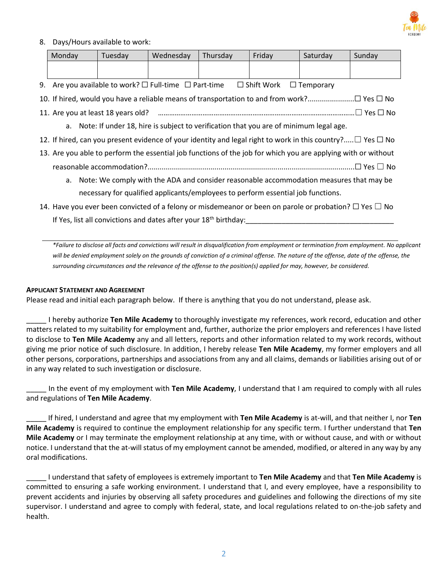

## 8. Days/Hours available to work:

| Monday | Tuesdav | Wednesday | Thursday | Fridav | Saturday | Sunday |
|--------|---------|-----------|----------|--------|----------|--------|
|        |         |           |          |        |          |        |
|        |         |           |          |        |          |        |

9. Are you available to work?  $\square$  Full-time  $\square$  Part-time  $\square$  Shift Work  $\square$  Temporary

10. If hired, would you have a reliable means of transportation to and from work?.......................☐ Yes ☐ No

- 11. Are you at least 18 years old? ……………………………………………………………………….……………………☐ Yes ☐ No
	- a. Note: If under 18, hire is subject to verification that you are of minimum legal age.
- 12. If hired, can you present evidence of your identity and legal right to work in this country?.....☐ Yes ☐ No
- 13. Are you able to perform the essential job functions of the job for which you are applying with or without reasonable accommodation?......................................................................................................☐ Yes ☐ No
	- a. Note: We comply with the ADA and consider reasonable accommodation measures that may be necessary for qualified applicants/employees to perform essential job functions.
- 14. Have you ever been convicted of a felony or misdemeanor or been on parole or probation?  $\Box$  Yes  $\Box$  No If Yes, list all convictions and dates after your 18<sup>th</sup> birthday:

*\*Failure to disclose all facts and convictions will result in disqualification from employment or termination from employment. No applicant*  will be denied employment solely on the grounds of conviction of a criminal offense. The nature of the offense, date of the offense, the *surrounding circumstances and the relevance of the offense to the position(s) applied for may, however, be considered.*

## **APPLICANT STATEMENT AND AGREEMENT**

Please read and initial each paragraph below. If there is anything that you do not understand, please ask.

\_\_\_\_\_ I hereby authorize **Ten Mile Academy** to thoroughly investigate my references, work record, education and other matters related to my suitability for employment and, further, authorize the prior employers and references I have listed to disclose to **Ten Mile Academy** any and all letters, reports and other information related to my work records, without giving me prior notice of such disclosure. In addition, I hereby release **Ten Mile Academy**, my former employers and all other persons, corporations, partnerships and associations from any and all claims, demands or liabilities arising out of or in any way related to such investigation or disclosure.

\_\_\_\_\_ In the event of my employment with **Ten Mile Academy**, I understand that I am required to comply with all rules and regulations of **Ten Mile Academy**.

\_\_\_\_\_ If hired, I understand and agree that my employment with **Ten Mile Academy** is at-will, and that neither I, nor **Ten Mile Academy** is required to continue the employment relationship for any specific term. I further understand that **Ten Mile Academy** or I may terminate the employment relationship at any time, with or without cause, and with or without notice. I understand that the at-will status of my employment cannot be amended, modified, or altered in any way by any oral modifications.

\_\_\_\_\_ I understand that safety of employees is extremely important to **Ten Mile Academy** and that **Ten Mile Academy** is committed to ensuring a safe working environment. I understand that I, and every employee, have a responsibility to prevent accidents and injuries by observing all safety procedures and guidelines and following the directions of my site supervisor. I understand and agree to comply with federal, state, and local regulations related to on-the-job safety and health.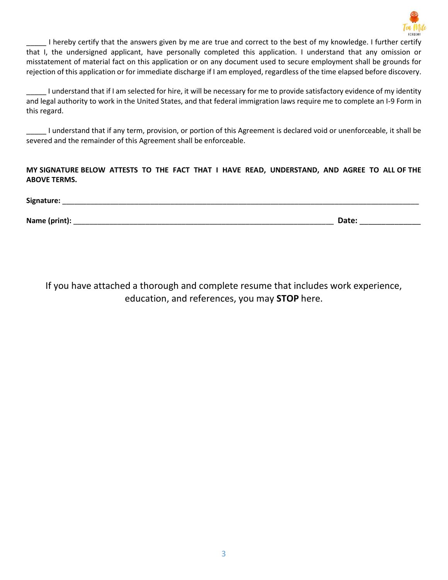

\_\_\_\_\_ I hereby certify that the answers given by me are true and correct to the best of my knowledge. I further certify that I, the undersigned applicant, have personally completed this application. I understand that any omission or misstatement of material fact on this application or on any document used to secure employment shall be grounds for rejection of this application or for immediate discharge if I am employed, regardless of the time elapsed before discovery.

\_\_\_\_\_ I understand that if I am selected for hire, it will be necessary for me to provide satisfactory evidence of my identity and legal authority to work in the United States, and that federal immigration laws require me to complete an I-9 Form in this regard.

\_\_\_\_\_ I understand that if any term, provision, or portion of this Agreement is declared void or unenforceable, it shall be severed and the remainder of this Agreement shall be enforceable.

**MY SIGNATURE BELOW ATTESTS TO THE FACT THAT I HAVE READ, UNDERSTAND, AND AGREE TO ALL OF THE ABOVE TERMS.**

Signature:

**Name (print):** \_\_\_\_\_\_\_\_\_\_\_\_\_\_\_\_\_\_\_\_\_\_\_\_\_\_\_\_\_\_\_\_\_\_\_\_\_\_\_\_\_\_\_\_\_\_\_\_\_\_\_\_\_\_\_\_\_\_\_\_\_\_\_\_\_ **Date:** \_\_\_\_\_\_\_\_\_\_\_\_\_\_

If you have attached a thorough and complete resume that includes work experience, education, and references, you may **STOP** here.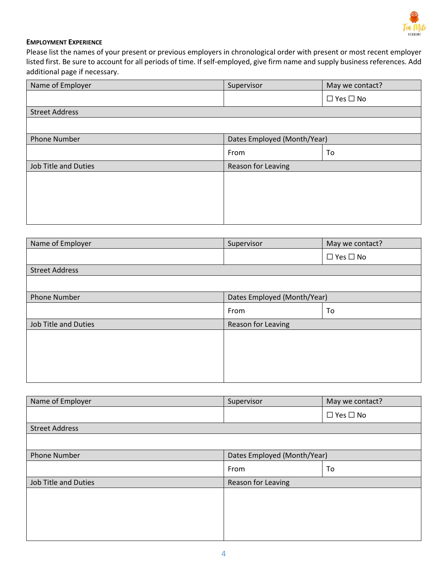

## **EMPLOYMENT EXPERIENCE**

Please list the names of your present or previous employers in chronological order with present or most recent employer listed first. Be sure to account for all periods of time. If self-employed, give firm name and supply business references. Add additional page if necessary.

| Name of Employer            | Supervisor                  | May we contact?      |
|-----------------------------|-----------------------------|----------------------|
|                             |                             | $\Box$ Yes $\Box$ No |
| <b>Street Address</b>       |                             |                      |
|                             |                             |                      |
| <b>Phone Number</b>         | Dates Employed (Month/Year) |                      |
|                             | From                        | To                   |
| <b>Job Title and Duties</b> | Reason for Leaving          |                      |
|                             |                             |                      |
|                             |                             |                      |
|                             |                             |                      |
|                             |                             |                      |

| Name of Employer            | Supervisor                  | May we contact?      |
|-----------------------------|-----------------------------|----------------------|
|                             |                             | $\Box$ Yes $\Box$ No |
| <b>Street Address</b>       |                             |                      |
|                             |                             |                      |
| <b>Phone Number</b>         | Dates Employed (Month/Year) |                      |
|                             | From                        | To                   |
| <b>Job Title and Duties</b> | Reason for Leaving          |                      |
|                             |                             |                      |
|                             |                             |                      |
|                             |                             |                      |
|                             |                             |                      |

| Name of Employer            | Supervisor                  | May we contact?      |  |
|-----------------------------|-----------------------------|----------------------|--|
|                             |                             | $\Box$ Yes $\Box$ No |  |
| <b>Street Address</b>       |                             |                      |  |
|                             |                             |                      |  |
| <b>Phone Number</b>         | Dates Employed (Month/Year) |                      |  |
|                             | From                        | To                   |  |
| <b>Job Title and Duties</b> | Reason for Leaving          |                      |  |
|                             |                             |                      |  |
|                             |                             |                      |  |
|                             |                             |                      |  |
|                             |                             |                      |  |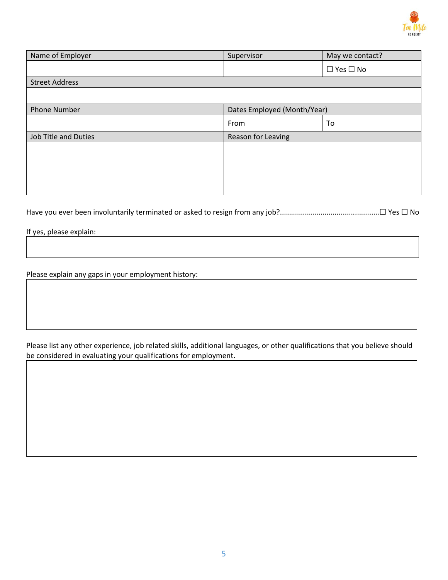

| Name of Employer            | Supervisor                  | May we contact?      |  |
|-----------------------------|-----------------------------|----------------------|--|
|                             |                             | $\Box$ Yes $\Box$ No |  |
| <b>Street Address</b>       |                             |                      |  |
|                             |                             |                      |  |
| <b>Phone Number</b>         | Dates Employed (Month/Year) |                      |  |
|                             | From                        | To                   |  |
| <b>Job Title and Duties</b> | Reason for Leaving          |                      |  |
|                             |                             |                      |  |
|                             |                             |                      |  |
|                             |                             |                      |  |
|                             |                             |                      |  |

Have you ever been involuntarily terminated or asked to resign from any job?.................................................☐ Yes ☐ No

If yes, please explain:

Please explain any gaps in your employment history:

Please list any other experience, job related skills, additional languages, or other qualifications that you believe should be considered in evaluating your qualifications for employment.